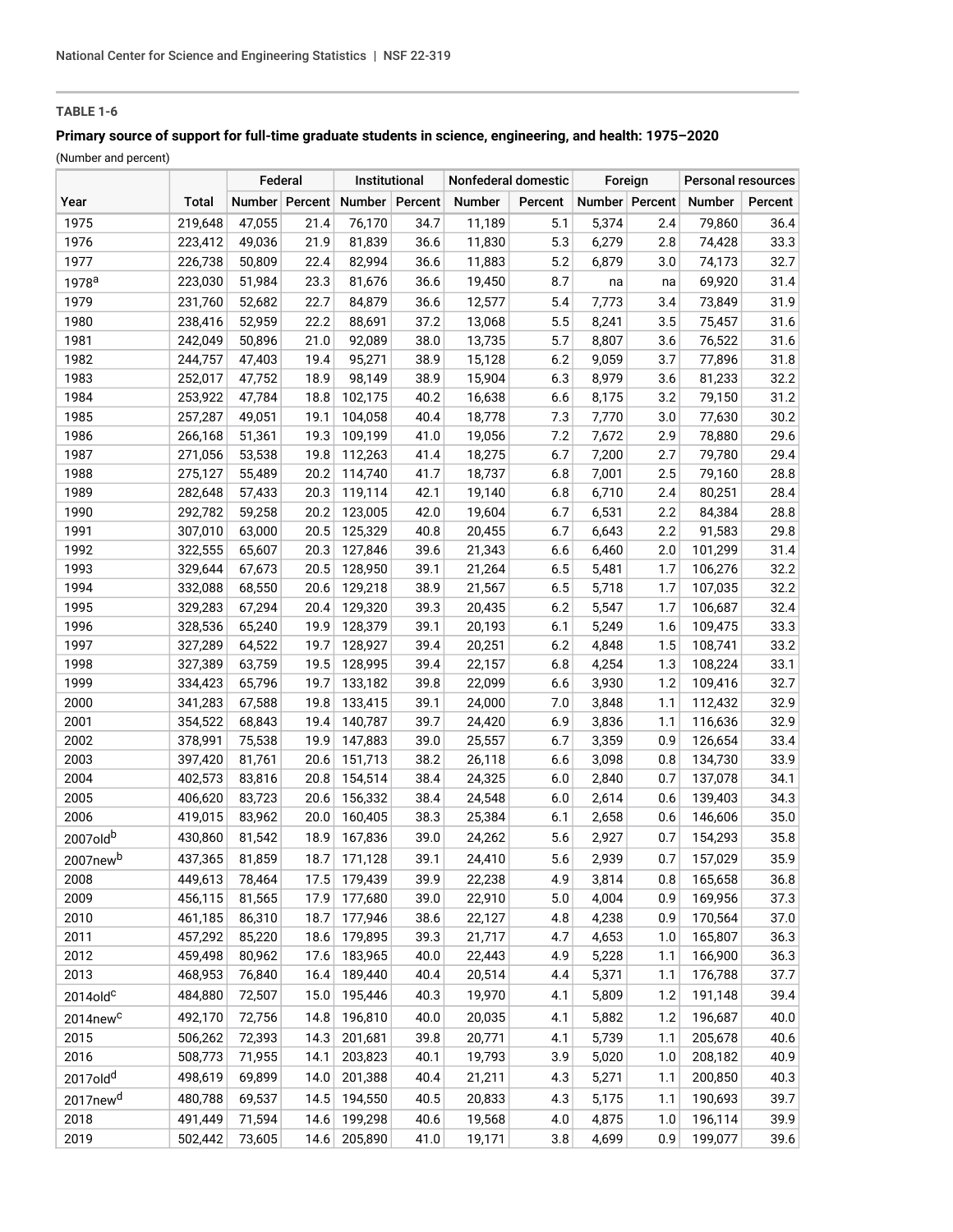# **TABLE 1-6**

# **Primary source of support for full-time graduate students in science, engineering, and health: 1975–2020**

(Number and percent)

|                      |              | Federal |                | Institutional  |      | Nonfederal domestic |         | Foreign |                | <b>Personal resources</b> |         |
|----------------------|--------------|---------|----------------|----------------|------|---------------------|---------|---------|----------------|---------------------------|---------|
| Year                 | <b>Total</b> |         | Number Percent | Number Percent |      | Number              | Percent |         | Number Percent | Number                    | Percent |
| 1975                 | 219,648      | 47,055  | 21.4           | 76,170         | 34.7 | 11,189              | 5.1     | 5,374   | 2.4            | 79,860                    | 36.4    |
| 1976                 | 223,412      | 49,036  | 21.9           | 81,839         | 36.6 | 11,830              | 5.3     | 6,279   | 2.8            | 74,428                    | 33.3    |
| 1977                 | 226,738      | 50,809  | 22.4           | 82,994         | 36.6 | 11,883              | 5.2     | 6,879   | 3.0            | 74,173                    | 32.7    |
| 1978 <sup>a</sup>    | 223,030      | 51,984  | 23.3           | 81,676         | 36.6 | 19,450              | 8.7     | na      | na             | 69,920                    | 31.4    |
| 1979                 | 231,760      | 52,682  | 22.7           | 84,879         | 36.6 | 12,577              | 5.4     | 7,773   | 3.4            | 73,849                    | 31.9    |
| 1980                 | 238,416      | 52,959  | 22.2           | 88,691         | 37.2 | 13,068              | 5.5     | 8,241   | 3.5            | 75,457                    | 31.6    |
| 1981                 | 242,049      | 50,896  | 21.0           | 92,089         | 38.0 | 13,735              | 5.7     | 8,807   | 3.6            | 76,522                    | 31.6    |
| 1982                 | 244,757      | 47,403  | 19.4           | 95,271         | 38.9 | 15,128              | 6.2     | 9,059   | 3.7            | 77,896                    | 31.8    |
| 1983                 | 252,017      | 47,752  | 18.9           | 98,149         | 38.9 | 15,904              | 6.3     | 8,979   | 3.6            | 81,233                    | 32.2    |
| 1984                 | 253,922      | 47,784  | 18.8           | 102,175        | 40.2 | 16,638              | 6.6     | 8,175   | 3.2            | 79,150                    | 31.2    |
| 1985                 | 257,287      | 49,051  | 19.1           | 104,058        | 40.4 | 18,778              | 7.3     | 7,770   | $3.0\,$        | 77,630                    | 30.2    |
| 1986                 | 266,168      | 51,361  | 19.3           | 109,199        | 41.0 | 19,056              | 7.2     | 7,672   | 2.9            | 78,880                    | 29.6    |
| 1987                 | 271,056      | 53,538  | 19.8           | 112,263        | 41.4 | 18,275              | 6.7     | 7,200   | 2.7            | 79,780                    | 29.4    |
| 1988                 | 275,127      | 55,489  | 20.2           | 114,740        | 41.7 | 18,737              | 6.8     | 7,001   | 2.5            | 79,160                    | 28.8    |
| 1989                 | 282,648      | 57,433  | 20.3           | 119,114        | 42.1 | 19,140              | 6.8     | 6,710   | 2.4            | 80,251                    | 28.4    |
| 1990                 | 292,782      | 59,258  | 20.2           | 123,005        | 42.0 | 19,604              | 6.7     | 6,531   | 2.2            | 84,384                    | 28.8    |
| 1991                 | 307,010      | 63,000  | 20.5           | 125,329        | 40.8 | 20,455              | 6.7     | 6,643   | 2.2            | 91,583                    | 29.8    |
| 1992                 | 322,555      | 65,607  | 20.3           | 127,846        | 39.6 | 21,343              | 6.6     | 6,460   | 2.0            | 101,299                   | 31.4    |
| 1993                 | 329,644      | 67,673  | 20.5           | 128,950        | 39.1 | 21,264              | 6.5     | 5,481   | 1.7            | 106,276                   | 32.2    |
| 1994                 | 332,088      | 68,550  | 20.6           | 129,218        | 38.9 | 21,567              | 6.5     | 5,718   | 1.7            | 107,035                   | 32.2    |
| 1995                 | 329,283      | 67,294  | 20.4           | 129,320        | 39.3 | 20,435              | 6.2     | 5,547   | 1.7            | 106,687                   | 32.4    |
| 1996                 | 328,536      | 65,240  | 19.9           | 128,379        | 39.1 | 20,193              | 6.1     | 5,249   | 1.6            | 109,475                   | 33.3    |
| 1997                 | 327,289      | 64,522  | 19.7           | 128,927        | 39.4 | 20,251              | 6.2     | 4,848   | 1.5            | 108,741                   | 33.2    |
| 1998                 | 327,389      | 63,759  | 19.5           | 128,995        | 39.4 | 22,157              | 6.8     | 4,254   | 1.3            | 108,224                   | 33.1    |
| 1999                 | 334,423      | 65,796  | 19.7           | 133,182        | 39.8 | 22,099              | 6.6     | 3,930   | 1.2            | 109,416                   | 32.7    |
| 2000                 | 341,283      | 67,588  | 19.8           | 133,415        | 39.1 | 24,000              | 7.0     | 3,848   | 1.1            | 112,432                   | 32.9    |
| 2001                 | 354,522      | 68,843  | 19.4           | 140,787        | 39.7 | 24,420              | 6.9     | 3,836   | 1.1            | 116,636                   | 32.9    |
| 2002                 | 378,991      | 75,538  | 19.9           | 147,883        | 39.0 | 25,557              | 6.7     | 3,359   | 0.9            | 126,654                   | 33.4    |
| 2003                 | 397,420      | 81,761  | 20.6           | 151,713        | 38.2 | 26,118              | 6.6     | 3,098   | 0.8            | 134,730                   | 33.9    |
| 2004                 | 402,573      | 83,816  | 20.8           | 154,514        | 38.4 | 24,325              | 6.0     | 2,840   | 0.7            | 137,078                   | 34.1    |
| 2005                 | 406,620      | 83,723  | 20.6           | 156,332        | 38.4 | 24,548              | 6.0     | 2,614   | 0.6            | 139,403                   | 34.3    |
| 2006                 | 419,015      | 83,962  | 20.0           | 160,405        | 38.3 | 25,384              | 6.1     | 2,658   | 0.6            | 146,606                   | 35.0    |
| 2007oldb             | 430,860      | 81,542  | 18.9           | 167,836        | 39.0 | 24,262              | 5.6     | 2,927   | 0.7            | 154,293                   | 35.8    |
| 2007newb             | 437,365      | 81,859  | 18.7           | 171,128        | 39.1 | 24,410              | 5.6     | 2,939   | 0.7            | 157,029                   | 35.9    |
| 2008                 | 449,613      | 78,464  | 17.5           | 179,439        | 39.9 | 22,238              | 4.9     | 3,814   | 0.8            | 165,658                   | 36.8    |
| 2009                 | 456,115      | 81,565  | 17.9           | 177,680        | 39.0 | 22,910              | 5.0     | 4,004   | 0.9            | 169,956                   | 37.3    |
| 2010                 | 461,185      | 86,310  | 18.7           | 177,946        | 38.6 | 22,127              | 4.8     | 4,238   | 0.9            | 170,564                   | 37.0    |
| 2011                 | 457,292      | 85,220  | 18.6           | 179,895        | 39.3 | 21,717              | 4.7     | 4,653   | 1.0            | 165,807                   | 36.3    |
| 2012                 | 459,498      | 80,962  | 17.6           | 183,965        | 40.0 | 22,443              | 4.9     | 5,228   | 1.1            | 166,900                   | 36.3    |
| 2013                 | 468,953      | 76,840  | 16.4           | 189,440        | 40.4 | 20,514              | 4.4     | 5,371   | 1.1            | 176,788                   | 37.7    |
| $2014$ old $c$       | 484,880      | 72,507  | 15.0           | 195,446        | 40.3 | 19,970              | 4.1     | 5,809   | 1.2            | 191,148                   | 39.4    |
| 2014new <sup>c</sup> | 492,170      | 72,756  | 14.8           | 196,810        | 40.0 | 20,035              | 4.1     | 5,882   | 1.2            | 196,687                   | 40.0    |
| 2015                 | 506,262      | 72,393  | 14.3           | 201,681        | 39.8 | 20,771              | 4.1     | 5,739   | 1.1            | 205,678                   | 40.6    |
| 2016                 | 508,773      | 71,955  | 14.1           | 203,823        | 40.1 | 19,793              | 3.9     | 5,020   | 1.0            | 208,182                   | 40.9    |
| 2017old <sup>d</sup> | 498,619      | 69,899  | 14.0           | 201,388        | 40.4 | 21,211              | 4.3     | 5,271   | 1.1            | 200,850                   | 40.3    |
| 2017new <sup>d</sup> | 480,788      | 69,537  | 14.5           | 194,550        | 40.5 | 20,833              | 4.3     | 5,175   | 1.1            | 190,693                   | 39.7    |
| 2018                 | 491,449      | 71,594  | 14.6           | 199,298        | 40.6 | 19,568              | 4.0     | 4,875   | 1.0            | 196,114                   | 39.9    |
| 2019                 | 502,442      | 73,605  | 14.6           | 205,890        | 41.0 | 19,171              | 3.8     | 4,699   | 0.9            | 199,077                   | 39.6    |